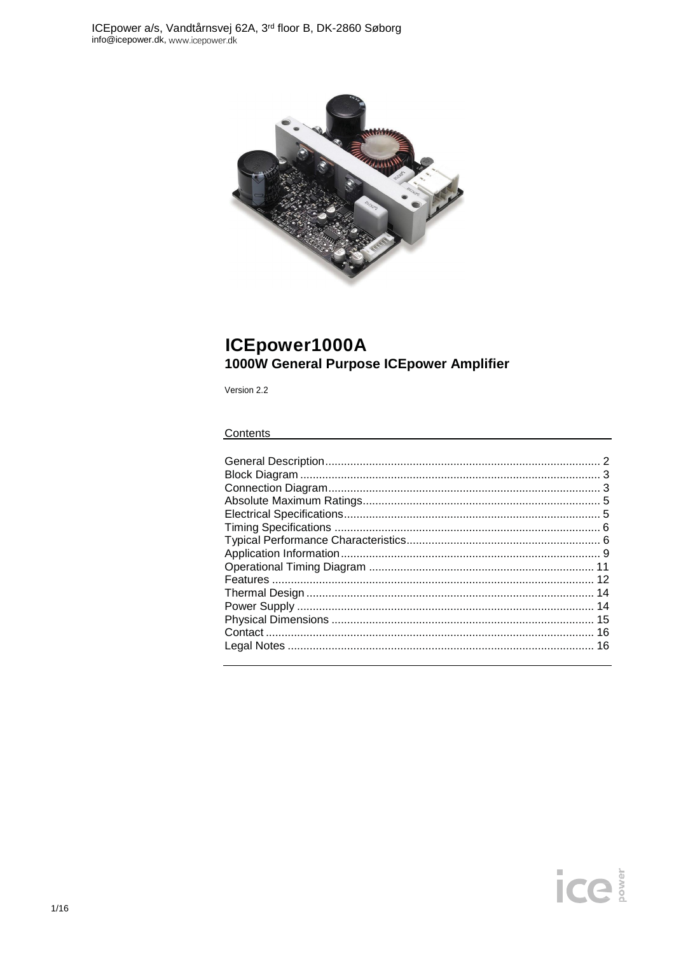

# ICEpower1000A 1000W General Purpose ICEpower Amplifier

Version 2.2

#### Contents

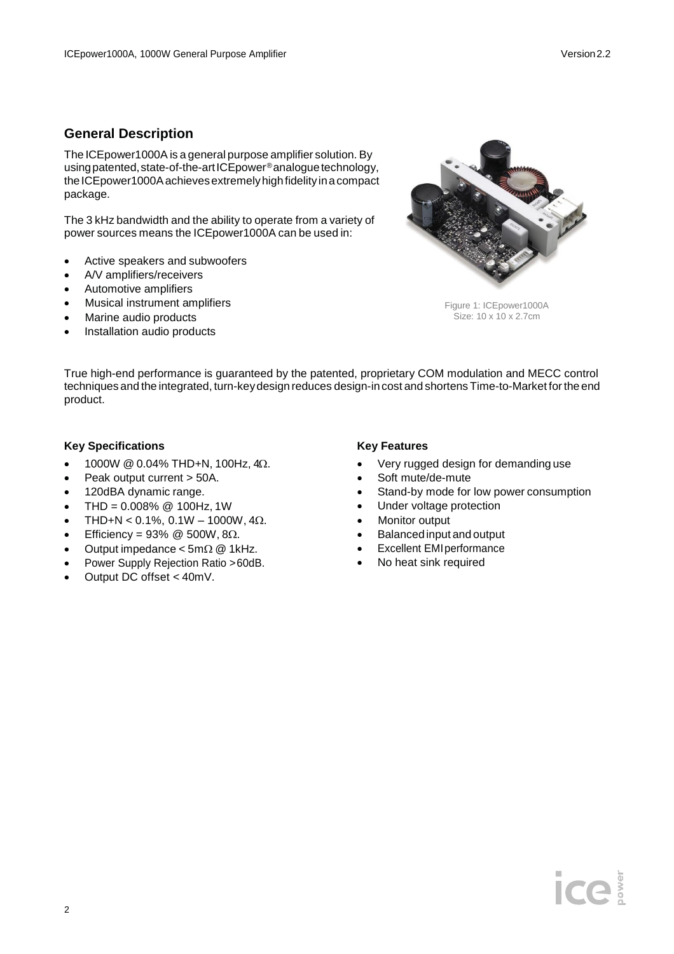## **General Description**

The ICEpower1000A is a general purpose amplifier solution. By usingpatented,state-of-the-artICEpower®analoguetechnology, the ICE power 1000A achieves extremely high fidelity in a compact package.

The 3 kHz bandwidth and the ability to operate from a variety of power sources means the ICEpower1000A can be used in:

- Active speakers and subwoofers
- A/V amplifiers/receivers
- Automotive amplifiers
- Musical instrument amplifiers
- Marine audio products
- Installation audio products



Figure 1: ICEpower1000A Size: 10 x 10 x 2.7cm

True high-end performance is guaranteed by the patented, proprietary COM modulation and MECC control techniques and the integrated, turn-keydesign reduces design-in cost and shortens Time-to-Market forthe end product.

#### **Key Specifications**

- 1000W @ 0.04% THD+N, 100Hz, 4Ω.
- Peak output current > 50A.
- 120dBA dynamic range.
- THD =  $0.008\%$  @ 100Hz, 1W
- THD+N < 0.1%, 0.1W 1000W, 4 $\Omega$ .
- Efficiency =  $93\%$  @ 500W, 8 $\Omega$ .
- Output impedance  $<$  5m $\Omega$  @ 1kHz.
- Power Supply Rejection Ratio >60dB.
- Output DC offset < 40mV.

#### **Key Features**

- Very rugged design for demanding use
- Soft mute/de-mute
- Stand-by mode for low power consumption
- Under voltage protection
- Monitor output
- Balanced input and output
- Excellent EMIperformance
- No heat sink required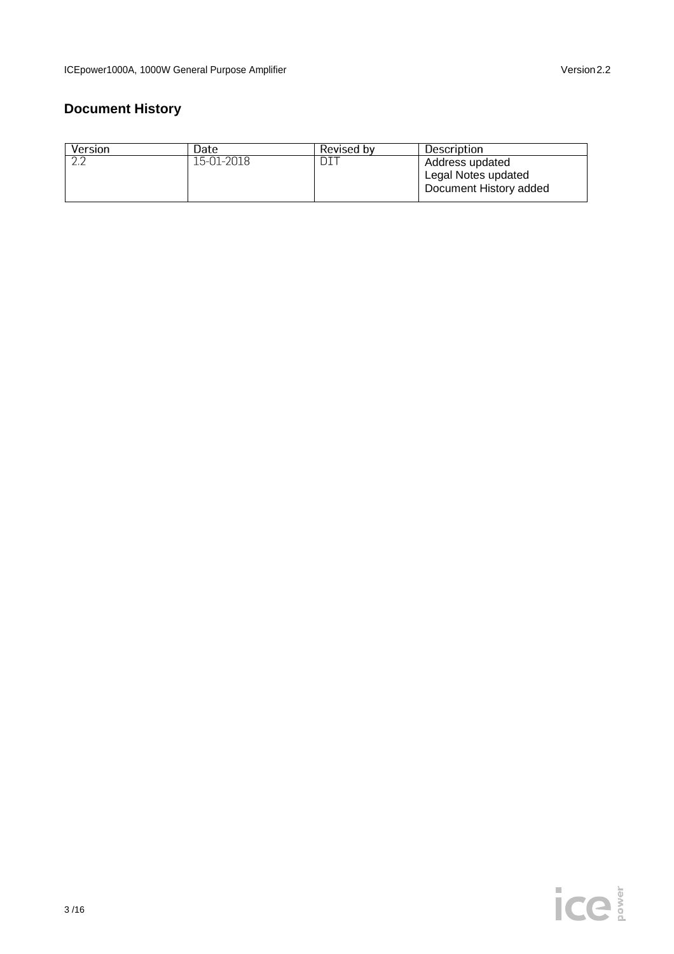# **Document History**

| Version | Date       | Revised by | Description                                                      |
|---------|------------|------------|------------------------------------------------------------------|
|         | 15-01-2018 |            | Address updated<br>Legal Notes updated<br>Document History added |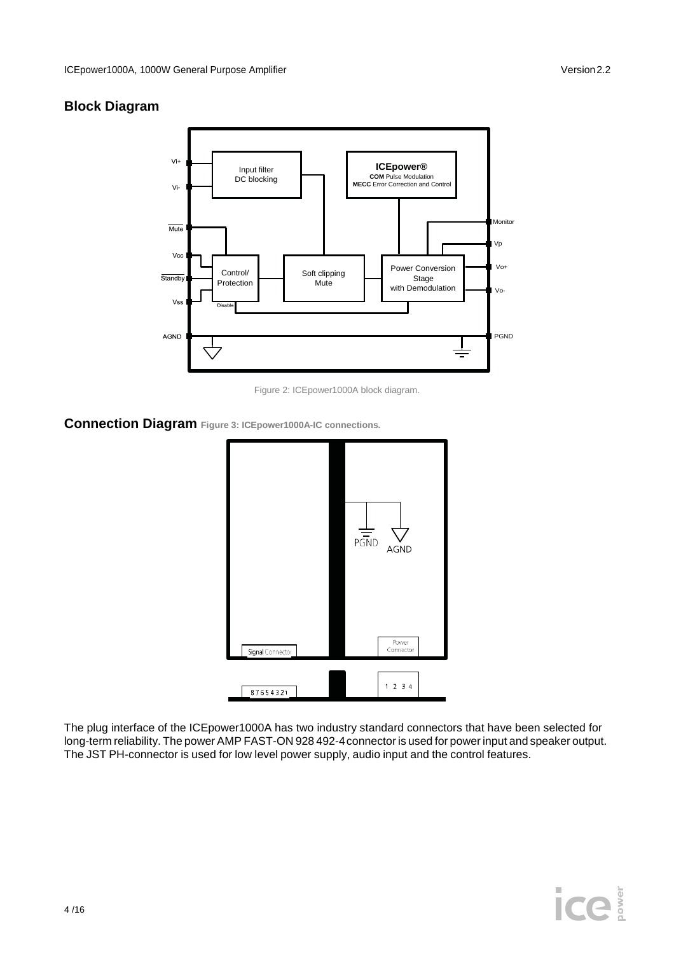## **Block Diagram**



Figure 2: ICEpower1000A block diagram.

## **Connection Diagram Figure 3: ICEpower1000A-IC connections.**



The plug interface of the ICEpower1000A has two industry standard connectors that have been selected for long-term reliability. The power AMP FAST-ON 928 492-4connector is used for power input and speaker output. The JST PH-connector is used for low level power supply, audio input and the control features.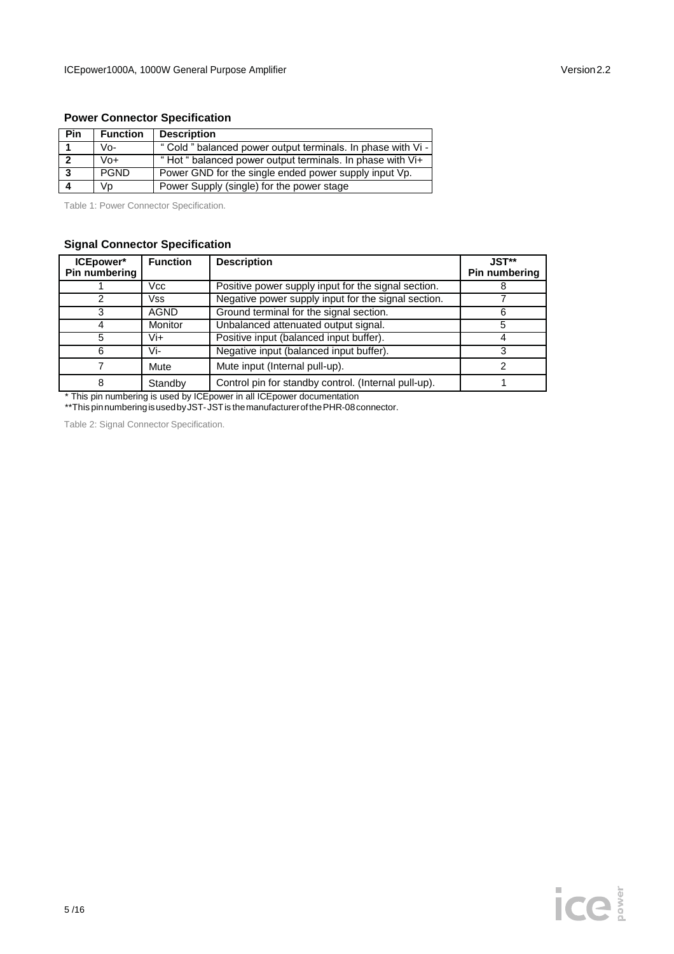#### **Power Connector Specification**

| Pin          | <b>Function</b> | <b>Description</b>                                           |
|--------------|-----------------|--------------------------------------------------------------|
|              | Vo-             | " Cold " balanced power output terminals. In phase with Vi - |
| $\mathbf{r}$ | Vo+             | "Hot "balanced power output terminals. In phase with Vi+     |
| -3           | <b>PGND</b>     | Power GND for the single ended power supply input Vp.        |
|              | Vp              | Power Supply (single) for the power stage                    |

Table 1: Power Connector Specification.

#### **Signal Connector Specification**

| <b>ICEpower*</b><br>Pin numbering | <b>Function</b> | <b>Description</b>                                   | $JST**$<br>Pin numbering |
|-----------------------------------|-----------------|------------------------------------------------------|--------------------------|
|                                   | Vcc             | Positive power supply input for the signal section.  |                          |
| 2                                 | Vss             | Negative power supply input for the signal section.  |                          |
| 3                                 | AGND            | Ground terminal for the signal section.              | Ⴌ                        |
| 4                                 | Monitor         | Unbalanced attenuated output signal.                 | 5                        |
| 5                                 | Vi+             | Positive input (balanced input buffer).              |                          |
| 6                                 | Vi-             | Negative input (balanced input buffer).              |                          |
|                                   | Mute            | Mute input (Internal pull-up).                       |                          |
| 8                                 | Standby         | Control pin for standby control. (Internal pull-up). |                          |

\* This pin numbering is used by ICEpower in all ICEpower documentation

\*\*This pinnumberingisusedbyJST-JSTis themanufacturerofthePHR-08connector.

Table 2: Signal Connector Specification.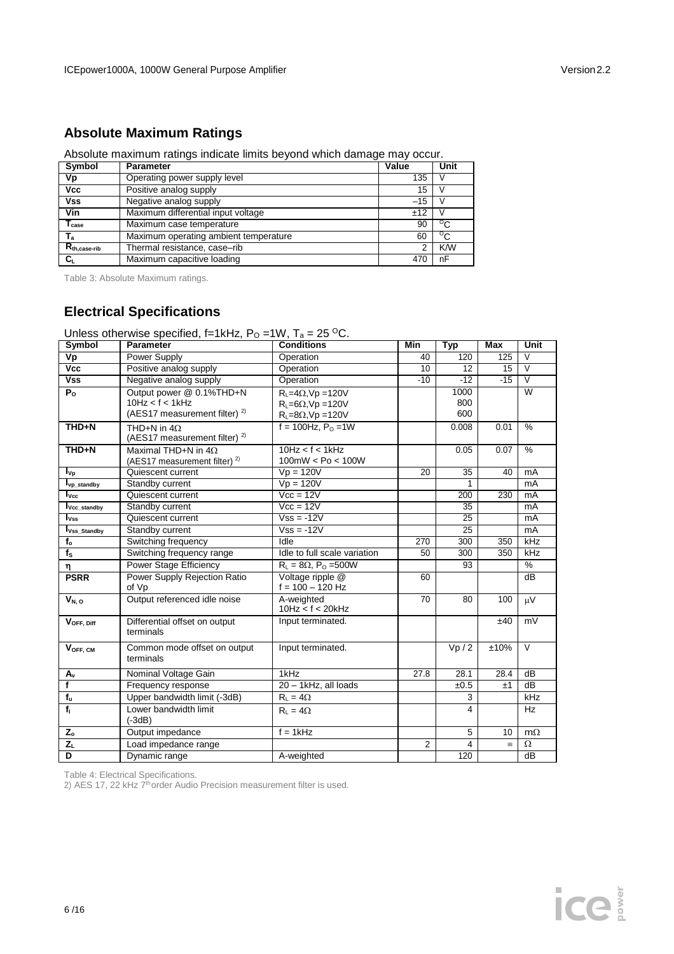## **Absolute Maximum Ratings**

Absolute maximum ratings indicate limits beyond which damage may occur.

| Symbol                | <b>Parameter</b>                      | Value | Unit       |
|-----------------------|---------------------------------------|-------|------------|
| Vp                    | Operating power supply level          | 135   |            |
| Vcc                   | Positive analog supply                | 15    |            |
| <b>Vss</b>            | Negative analog supply                | $-15$ |            |
| Vin                   | Maximum differential input voltage    | ±12   |            |
| I <sub>case</sub>     | Maximum case temperature              | 90    | ം          |
| ${\mathsf T}_{\rm a}$ | Maximum operating ambient temperature | 60    | °C         |
| $R_{th, case-rib}$    | Thermal resistance, case-rib          | 2     | <b>K/W</b> |
| $C_L$                 | Maximum capacitive loading            | 47    | nF         |

Table 3: Absolute Maximum ratings.

## **Electrical Specifications**

Unless otherwise specified, f=1kHz,  $P_0 = 1 \text{W}$ ,  $T_a = 25 \text{ °C}$ .<br>Symbol | Parameter | Conditions **Symbol Parameter Conditions Min Typ Max Unit Vp** Power Supply **Operation** 40 120 125 V **Vcc** Positive analog supply Deperation 10 12 15 V<br> **Vss** Negative analog supply Operation 10 -12 -15 V **Vss** Negative analog supply Operation -10 -12 -15<br> **P<sub>o</sub>** Output power @ 0.1%THD+N R<sub>i</sub> =4 $\Omega$ , Vp =120V 1000 **P<sup>O</sup>** Output power @ 0.1%THD+N  $10Hz < f < 1kHz$ (AES17 measurement filter)<sup>2)</sup>  $R_L = 4\Omega$ , Vp = 120V  $R_L = 6\Omega$ , Vp = 120V  $R_L$ =8 $\Omega$ , Vp =120V 1000 800 600 W **THD+N** THD+N in  $4\Omega$ (AES17 measurement filter)<sup>2)</sup>  $f = 100$ Hz, P<sub>O</sub> =1W 0.008 0.01 % **THD+N** Maximal THD+N in  $4\Omega$ (AES17 measurement filter)<sup>2)</sup>  $10$ Hz < f < 1kHz  $\frac{100mW}{Vp} = 120V$  $0.05$   $0.07$  % **IV<sub>p</sub>** Quiescent current Vp = 120V 20 35 40 mA<br> **IV**<sub>p\_standby Standby current Vp = 120V 1 mA</sub> **Iv** Standby current Vp = 120V 1 mA **IVcc Cuiescent current Vcc = 12V 200 230 mA**<br> **IV**<sub>Cc\_standby Standby current Vcc = 12V 35 mA</sub> **IVcc\_standby** Standby current Vcc = 12V 35 mA<br> **IVss** Quiescent current Vss = -12V 25 mA **IQuiescent current Vss = -12V 25 mA IVss\_Standby** Standby current Vss = -12V 25 mA **Faod Switching frequency**<br> **for Switching frequency range** Idle to full scale variation 270 300 350 kHz **f<sub>s</sub>** Switching frequency range  $\begin{array}{|c|c|c|c|c|}\n\hline\n\eta & Power Stage Efficiency & R_L = 8\Omega, P_O = 500W & 93 & \% \\
\hline\n\text{PSRR} & Power Supply Rejection Ratio & Voltaqe ripple @ & 60 & dB \\
\hline\n\end{array}$ **Power Supply Rejection Ratio** of Vp Voltage ripple @  $f = 100 - 120$  Hz 60 dB **V<sub>N, 0</sub>** Output referenced idle noise A-weighted 10Hz < f < 20kHz 70 80 100  $\mu$ V **VOFF, Diff** Differential offset on output terminals Input terminated. ±40 mV **V<sub>OFF, CM</sub>** Common mode offset on output terminals Input terminated.  $VP / 2$   $\pm 10\%$  V **A<sub>v</sub>** Nominal Voltage Gain 1kHz 27.8 28.1 28.4 dB<br> **f** Frequency response 20-1kHz, all loads  $\pm 0.5$   $\pm 1$  dB **f**  $\left| \text{Frequency response} \right|$   $\left| 20 - 1 \text{kHz, all loads} \right|$   $\left| \text{ } \pm 0.5 \right|$   $\pm 1$  $f_u$  Upper bandwidth limit  $(-3dB)$  R<sub>L</sub> = 4 $\Omega$  3 kHz **f**<sub>l</sub> Lower bandwidth limit (-3dB)  $R_{L} = 4\Omega$  Hz  $Z_o$  Output impedance  $f = 1kHz$  5 10 m $\Omega$  $Z_L$  Load impedance range 2 4  $\equiv \Omega$ **D** Dynamic range A-weighted 120 dB

Table 4: Electrical Specifications.

2) AES 17, 22 kHz 7<sup>th</sup>order Audio Precision measurement filter is used.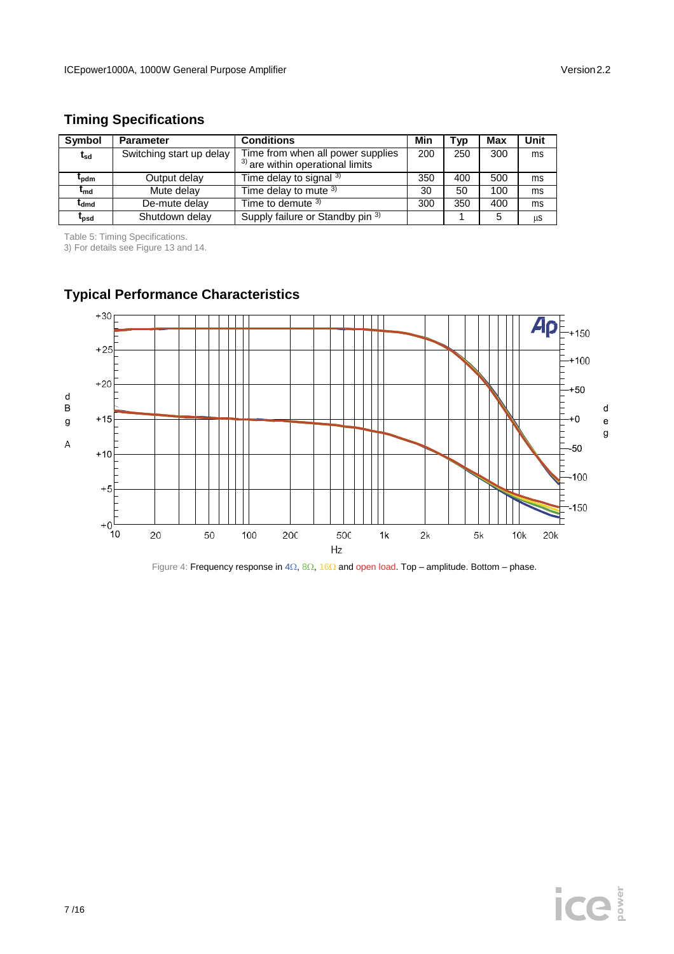## **Timing Specifications**

| <b>Symbol</b>     | <b>Parameter</b>         | <b>Conditions</b>                                                       | Min | Typ | Max | Unit |
|-------------------|--------------------------|-------------------------------------------------------------------------|-----|-----|-----|------|
| $t_{sd}$          | Switching start up delay | Time from when all power supplies<br>$3)$ are within operational limits | 200 | 250 | 300 | ms   |
| ւ<br>bdm          | Output delay             | Time delay to signal $3$                                                | 350 | 400 | 500 | ms   |
| $\mathbf{r_{md}}$ | Mute delay               | Time delay to mute $3$ )                                                | 30  | 50  | 100 | ms   |
| ldmd              | De-mute delay            | Time to demute $3$                                                      | 300 | 350 | 400 | ms   |
| <sup>L</sup> psd  | Shutdown delay           | Supply failure or Standby pin 3)                                        |     |     | 5   | μS   |

Table 5: Timing Specifications.

3) For details see Figure 13 and 14.



# **Typical Performance Characteristics**

Figure 4: Frequency response in 4 $\Omega$ , 8 $\Omega$ , 16 $\Omega$  and open load. Top – amplitude. Bottom – phase.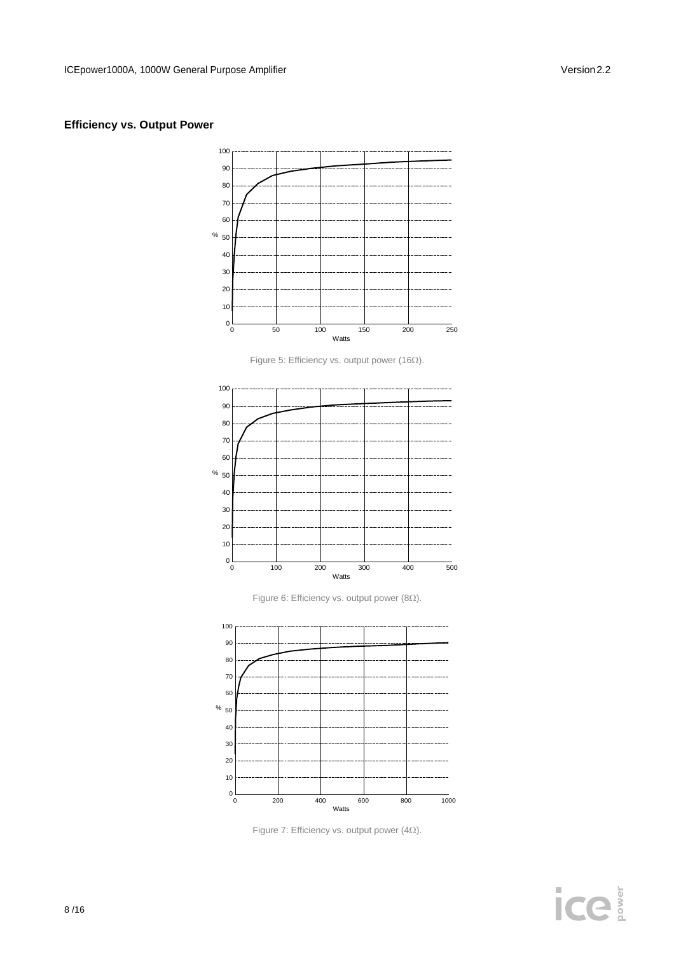#### **Efficiency vs. Output Power**



Figure 5: Efficiency vs. output power (16 $\Omega$ ).



Figure 6: Efficiency vs. output power (8 $\Omega$ ).



Figure 7: Efficiency vs. output power (4 $\Omega$ ).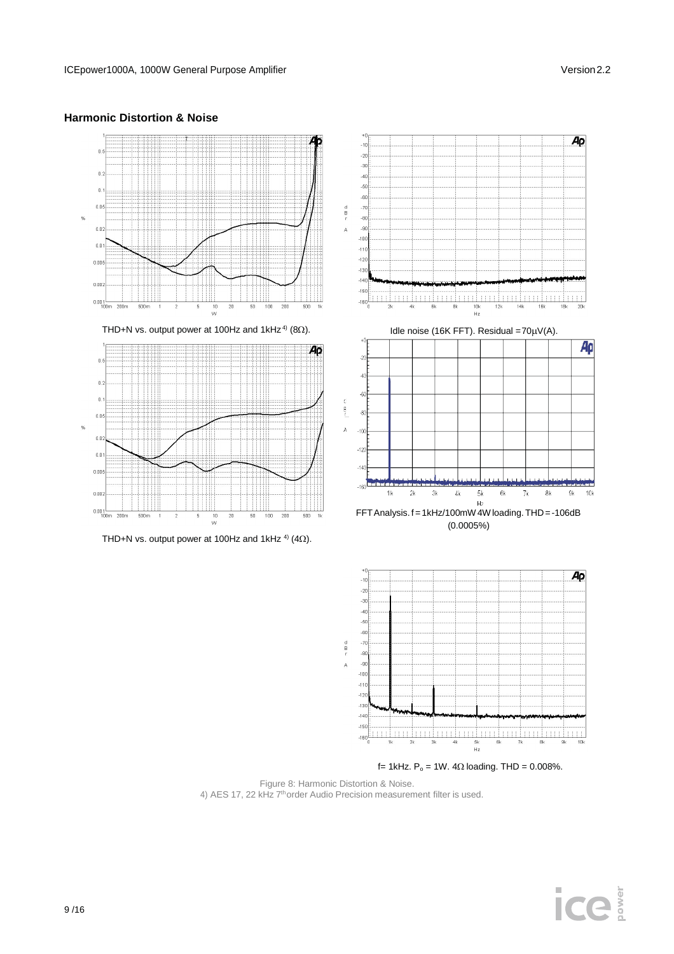

#### **Harmonic Distortion & Noise**

f = 1kHz.  $P_0$  = 1W. 4 $\Omega$  loading. THD = 0.008%.

 $\begin{picture}(180,10) \put(0,0){\vector(1,0){100}} \put(10,0){\vector(1,0){100}} \put(10,0){\vector(1,0){100}} \put(10,0){\vector(1,0){100}} \put(10,0){\vector(1,0){100}} \put(10,0){\vector(1,0){100}} \put(10,0){\vector(1,0){100}} \put(10,0){\vector(1,0){100}} \put(10,0){\vector(1,0){100}} \put(10,0){\vector(1,0){100}} \put(10,0){\vector(1,0){100}}$ 5k<br>Hz

Figure 8: Harmonic Distortion & Noise. 4) AES 17, 22 kHz 7<sup>th</sup>order Audio Precision measurement filter is used.

 $-111$  $-12$  $-130$  $-140$  $-150$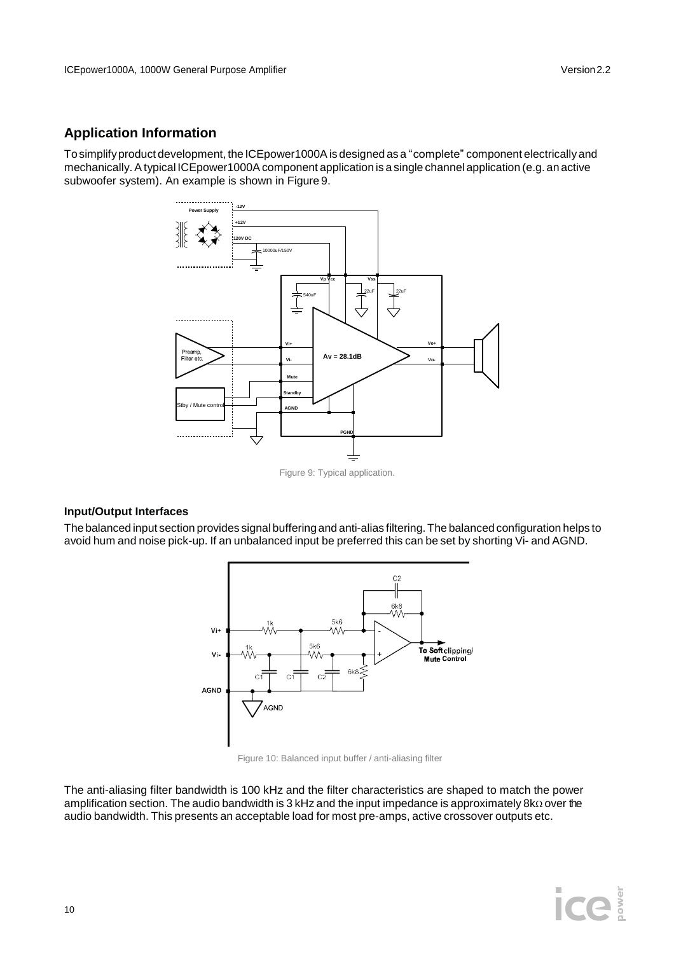## **Application Information**

To simplifyproduct development, the ICEpower1000Ais designed as a "complete" component electricallyand mechanically. A typical ICEpower1000A component application is a single channel application (e.g. an active subwoofer system). An example is shown in Figure 9.



#### **Input/Output Interfaces**

The balanced input section provides signal buffering and anti-alias filtering.The balanced configuration helps to avoid hum and noise pick-up. If an unbalanced input be preferred this can be set by shorting Vi- and AGND.



Figure 10: Balanced input buffer / anti-aliasing filter

The anti-aliasing filter bandwidth is 100 kHz and the filter characteristics are shaped to match the power amplification section. The audio bandwidth is 3 kHz and the input impedance is approximately  $8k\Omega$  over the audio bandwidth. This presents an acceptable load for most pre-amps, active crossover outputs etc.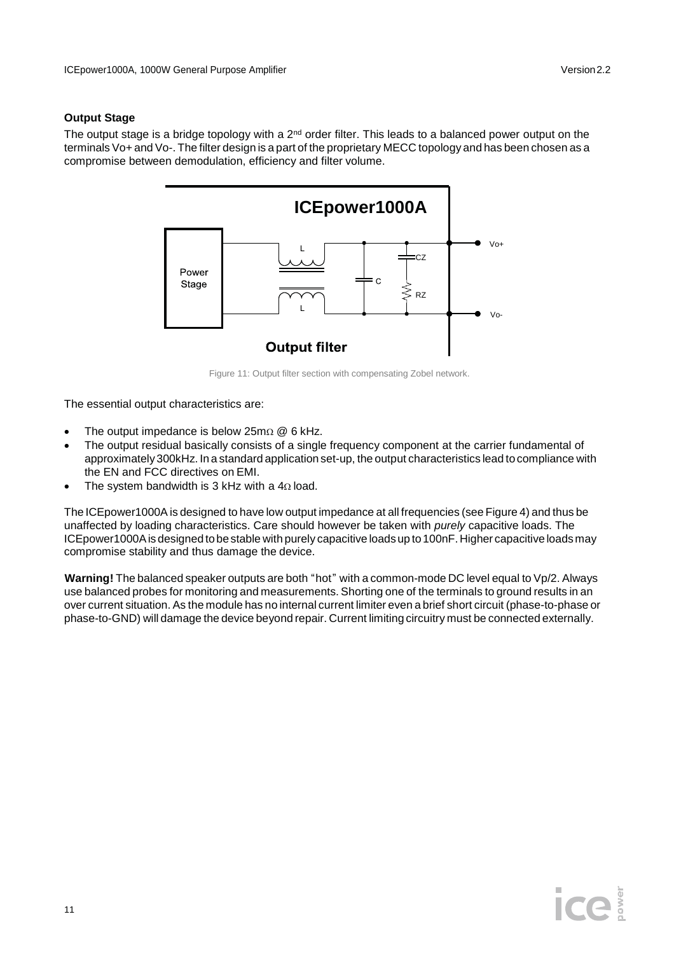#### **Output Stage**

The output stage is a bridge topology with a 2nd order filter. This leads to a balanced power output on the  $\,$ terminals Vo+ and Vo-. The filter design is a part of the proprietary MECC topology and has been chosen as a compromise between demodulation, efficiency and filter volume.



Figure 11: Output filter section with compensating Zobel network.

The essential output characteristics are:

- The output impedance is below  $25m\Omega \otimes 6$  kHz.
- The output residual basically consists of a single frequency component at the carrier fundamental of approximately300kHz. In a standard application set-up, the output characteristics lead to compliance with the EN and FCC directives on EMI.
- The system bandwidth is 3 kHz with a  $4\Omega$  load.

The ICEpower1000A is designed to have low output impedance at all frequencies (see Figure 4) and thus be unaffected by loading characteristics. Care should however be taken with *purely* capacitive loads. The ICEpower1000Ais designed tobestable with purely capacitive loads up to100nF. Higher capacitive loads may compromise stability and thus damage the device.

**Warning!** The balanced speaker outputs are both "hot" with a common-mode DC level equal to Vp/2. Always use balanced probes for monitoring and measurements. Shorting one of the terminals to ground results in an over current situation. As the module has no internal current limiter even a brief short circuit (phase-to-phase or phase-to-GND) will damage the device beyond repair. Current limiting circuitry must be connected externally.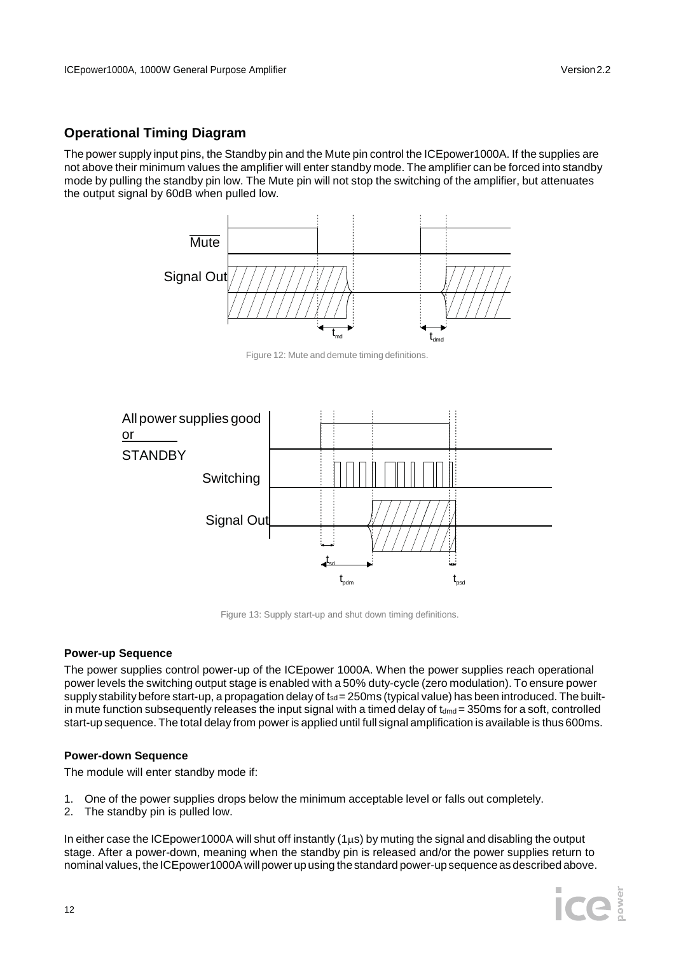## **Operational Timing Diagram**

The power supply input pins, the Standby pin and the Mute pin control the ICEpower1000A. If the supplies are not above their minimum values the amplifier will enter standby mode. The amplifier can be forced into standby mode by pulling the standby pin low. The Mute pin will not stop the switching of the amplifier, but attenuates the output signal by 60dB when pulled low.



Figure 12: Mute and demute timing definitions.



Figure 13: Supply start-up and shut down timing definitions.

#### **Power-up Sequence**

The power supplies control power-up of the ICEpower 1000A. When the power supplies reach operational power levels the switching output stage is enabled with a 50% duty-cycle (zero modulation). To ensure power supply stability before start-up, a propagation delay of  $t_{sd}= 250$ ms (typical value) has been introduced. The builtin mute function subsequently releases the input signal with a timed delay of  $t_{dmd}$  = 350ms for a soft, controlled start-up sequence. The total delay from power is applied until full signal amplification is available is thus 600ms.

#### **Power-down Sequence**

The module will enter standby mode if:

- 1. One of the power supplies drops below the minimum acceptable level or falls out completely.
- 2. The standby pin is pulled low.

In either case the ICEpower1000A will shut off instantly  $(1\mu s)$  by muting the signal and disabling the output stage. After a power-down, meaning when the standby pin is released and/or the power supplies return to nominal values, the ICE power1000A will power up using the standard power-up sequence as described above.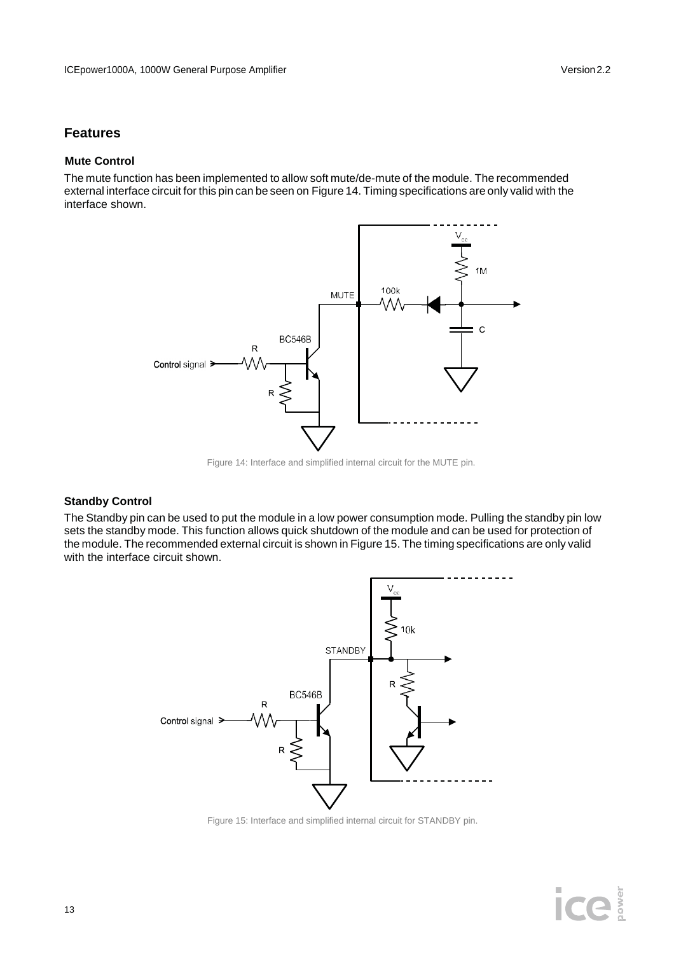## **Features**

#### **Mute Control**

The mute function has been implemented to allow soft mute/de-mute of the module. The recommended external interface circuit for this pin can be seen on Figure 14. Timing specifications are only valid with the interface shown.



Figure 14: Interface and simplified internal circuit for the MUTE pin.

#### **Standby Control**

The Standby pin can be used to put the module in a low power consumption mode. Pulling the standby pin low sets the standby mode. This function allows quick shutdown of the module and can be used for protection of the module. The recommended external circuit is shown in Figure 15. The timing specifications are only valid with the interface circuit shown.



Figure 15: Interface and simplified internal circuit for STANDBY pin.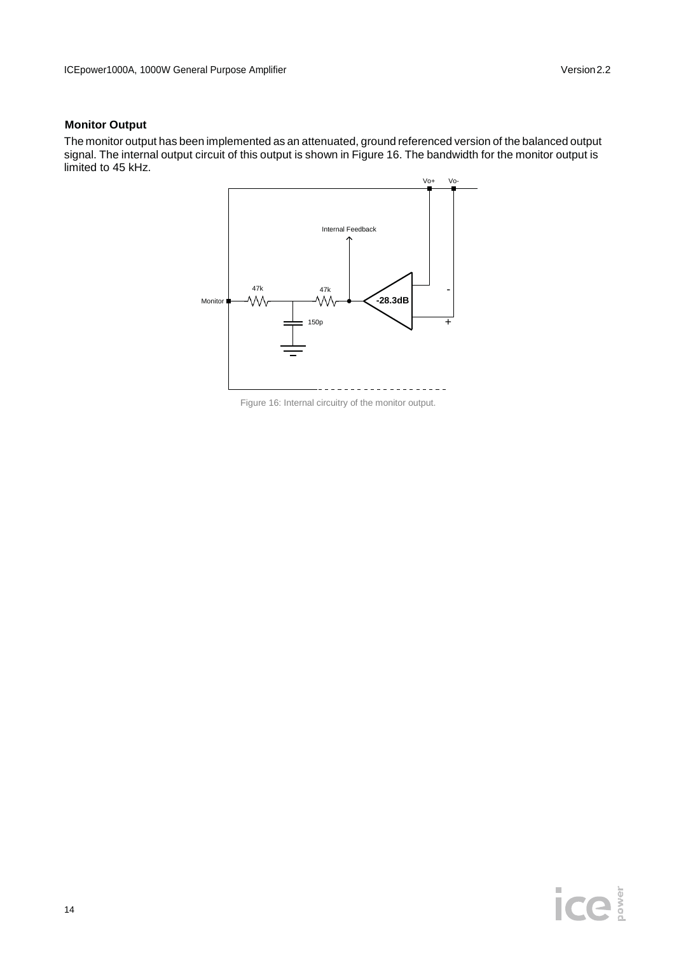#### **Monitor Output**

The monitor output has been implemented as an attenuated, ground referenced version of the balanced output signal. The internal output circuit of this output is shown in Figure 16. The bandwidth for the monitor output is limited to 45 kHz.



Figure 16: Internal circuitry of the monitor output.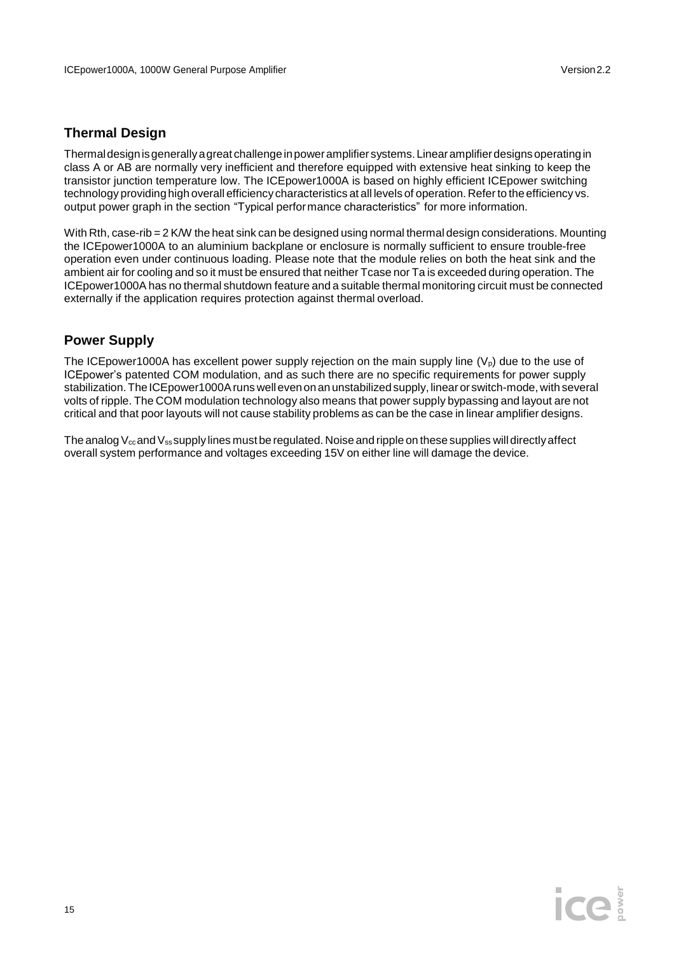## **Thermal Design**

Thermaldesignisgenerallyagreat challengeinpoweramplifier systems.Linearamplifierdesignsoperatingin class A or AB are normally very inefficient and therefore equipped with extensive heat sinking to keep the transistor junction temperature low. The ICEpower1000A is based on highly efficient ICEpower switching technology providing high overall efficiency characteristics at all levels of operation. Referto the efficiency vs. output power graph in the section "Typical performance characteristics" for more information.

With Rth, case-rib = 2 K/W the heat sink can be designed using normal thermal design considerations. Mounting the ICEpower1000A to an aluminium backplane or enclosure is normally sufficient to ensure trouble-free operation even under continuous loading. Please note that the module relies on both the heat sink and the ambient air for cooling and so it must be ensured that neither Tcase nor Ta is exceeded during operation. The ICEpower1000A has no thermal shutdown feature and a suitable thermal monitoring circuit must be connected externally if the application requires protection against thermal overload.

### **Power Supply**

The ICE power 1000A has excellent power supply rejection on the main supply line  $(V_0)$  due to the use of ICEpower's patented COM modulation, and as such there are no specific requirements for power supply stabilization. The ICEpower1000A runs well even on an unstabilized supply, linear or switch-mode, with several volts of ripple. The COM modulation technology also means that power supply bypassing and layout are not critical and that poor layouts will not cause stability problems as can be the case in linear amplifier designs.

The analog  $V_{\text{cc}}$  and  $V_{\text{ss}}$  supply lines must be regulated. Noise and ripple on these supplies will directly affect overall system performance and voltages exceeding 15V on either line will damage the device.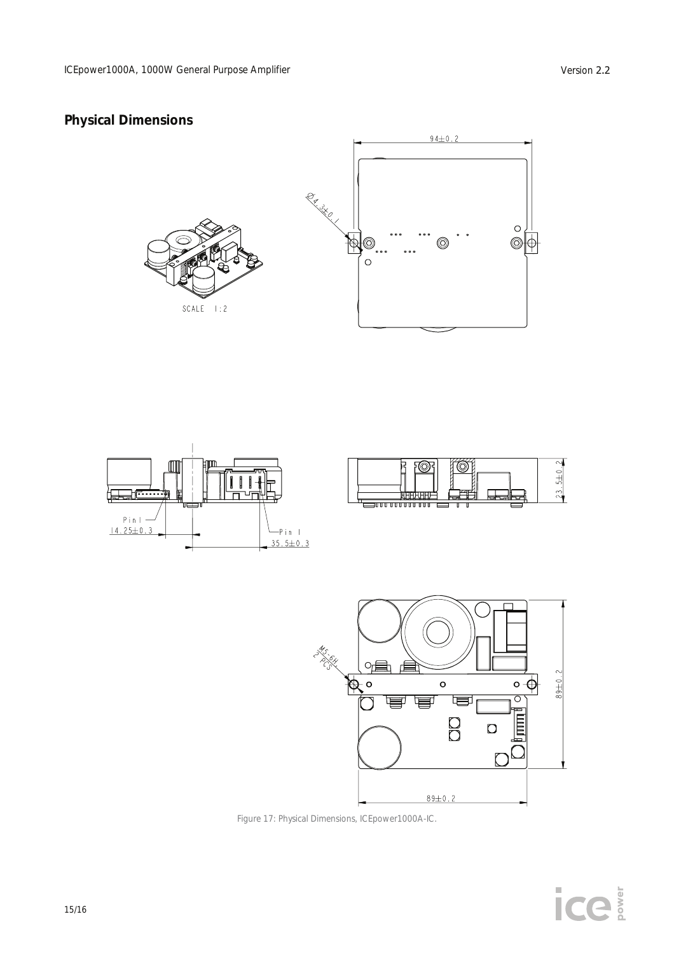## **Physical Dimensions**











Figure 17: Physical Dimensions, ICEpower1000A-IC.